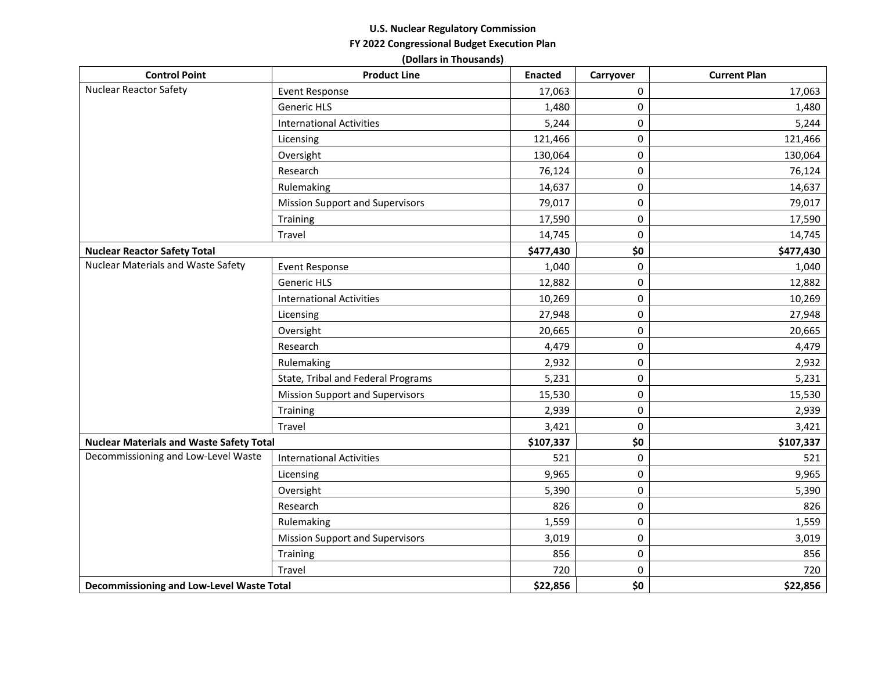## **U.S. Nuclear Regulatory Commission FY 2022 Congressional Budget Execution Plan**

**(Dollars in Thousands)**

| <b>Control Point</b>                             | <b>Product Line</b>                    | <b>Enacted</b> | Carryover | <b>Current Plan</b> |
|--------------------------------------------------|----------------------------------------|----------------|-----------|---------------------|
| Nuclear Reactor Safety                           | <b>Event Response</b>                  | 17,063         | 0         | 17,063              |
|                                                  | <b>Generic HLS</b>                     | 1,480          | 0         | 1,480               |
|                                                  | <b>International Activities</b>        | 5,244          | 0         | 5,244               |
|                                                  | Licensing                              | 121,466        | 0         | 121,466             |
|                                                  | Oversight                              | 130,064        | 0         | 130,064             |
|                                                  | Research                               | 76,124         | 0         | 76,124              |
|                                                  | Rulemaking                             | 14,637         | 0         | 14,637              |
|                                                  | <b>Mission Support and Supervisors</b> | 79,017         | 0         | 79,017              |
|                                                  | Training                               | 17,590         | $\pmb{0}$ | 17,590              |
|                                                  | Travel                                 | 14,745         | 0         | 14,745              |
| <b>Nuclear Reactor Safety Total</b>              |                                        | \$477,430      | \$0       | \$477,430           |
| <b>Nuclear Materials and Waste Safety</b>        | Event Response                         | 1,040          | 0         | 1,040               |
|                                                  | <b>Generic HLS</b>                     | 12,882         | 0         | 12,882              |
|                                                  | <b>International Activities</b>        | 10,269         | 0         | 10,269              |
|                                                  | Licensing                              | 27,948         | 0         | 27,948              |
|                                                  | Oversight                              | 20,665         | 0         | 20,665              |
|                                                  | Research                               | 4,479          | 0         | 4,479               |
|                                                  | Rulemaking                             | 2,932          | 0         | 2,932               |
|                                                  | State, Tribal and Federal Programs     | 5,231          | $\pmb{0}$ | 5,231               |
|                                                  | <b>Mission Support and Supervisors</b> | 15,530         | 0         | 15,530              |
|                                                  | Training                               | 2,939          | $\pmb{0}$ | 2,939               |
|                                                  | Travel                                 | 3,421          | 0         | 3,421               |
| <b>Nuclear Materials and Waste Safety Total</b>  |                                        | \$107,337      | \$0       | \$107,337           |
| Decommissioning and Low-Level Waste              | <b>International Activities</b>        | 521            | 0         | 521                 |
|                                                  | Licensing                              | 9,965          | 0         | 9,965               |
|                                                  | Oversight                              | 5,390          | 0         | 5,390               |
|                                                  | Research                               | 826            | 0         | 826                 |
|                                                  | Rulemaking                             | 1,559          | 0         | 1,559               |
|                                                  | <b>Mission Support and Supervisors</b> | 3,019          | 0         | 3,019               |
|                                                  | Training                               | 856            | $\pmb{0}$ | 856                 |
|                                                  | Travel                                 | 720            | 0         | 720                 |
| <b>Decommissioning and Low-Level Waste Total</b> |                                        | \$22,856       | \$0       | \$22,856            |